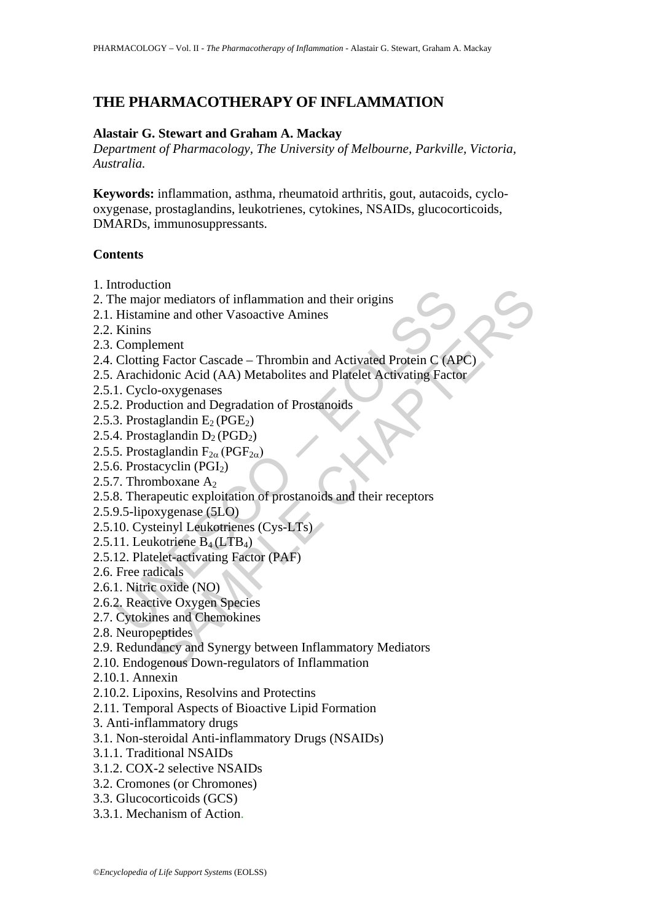# **THE PHARMACOTHERAPY OF INFLAMMATION**

### **Alastair G. Stewart and Graham A. Mackay**

*Department of Pharmacology, The University of Melbourne, Parkville, Victoria, Australia.* 

**Keywords:** inflammation, asthma, rheumatoid arthritis, gout, autacoids, cyclooxygenase, prostaglandins, leukotrienes, cytokines, NSAIDs, glucocorticoids, DMARDs, immunosuppressants.

#### **Contents**

- 1. Introduction
- 2. The major mediators of inflammation and their origins
- 2.1. Histamine and other Vasoactive Amines
- 2.2. Kinins
- 2.3. Complement
- motestion<br>
In mediators of inflammation and their origins<br>
Histamine and other Vasoactive Amines<br>
Kinins<br>
Contrignent<br>
Chotting Factor Cascade Thrombin and Activated Protein C (AR<br>
Arachidonic Acid (AA) Metabolites and tion<br>or mediators of inflammation and their origins<br>ine and other Vasoactive Amines<br>element<br>denic Acid (AA) Metabolites and Platelet Activating Factor<br>o-oxygenases<br>deglandin E<sub>2</sub> (PGE<sub>2</sub>)<br>taglandin E<sub>2</sub> (PGE<sub>2</sub>)<br>taglandin 2.4. Clotting Factor Cascade – Thrombin and Activated Protein C (APC)
- 2.5. Arachidonic Acid (AA) Metabolites and Platelet Activating Factor
- 2.5.1. Cyclo-oxygenases
- 2.5.2. Production and Degradation of Prostanoids
- 2.5.3. Prostaglandin  $E_2(PGE_2)$
- 2.5.4. Prostaglandin  $D_2(PGD_2)$
- 2.5.5. Prostaglandin  $F_{2\alpha}$  (PGF<sub>2 $\alpha$ </sub>)
- 2.5.6. Prostacyclin  $(PGI<sub>2</sub>)$
- 2.5.7. Thromboxane  $A_2$
- 2.5.8. Therapeutic exploitation of prostanoids and their receptors
- 2.5.9.5-lipoxygenase (5LO)
- 2.5.10. Cysteinyl Leukotrienes (Cys-LTs)
- 2.5.11. Leukotriene  $B_4(LTB_4)$
- 2.5.12. Platelet-activating Factor (PAF)
- 2.6. Free radicals
- 2.6.1. Nitric oxide (NO)
- 2.6.2. Reactive Oxygen Species
- 2.7. Cytokines and Chemokines
- 2.8. Neuropeptides
- 2.9. Redundancy and Synergy between Inflammatory Mediators
- 2.10. Endogenous Down-regulators of Inflammation
- 2.10.1. Annexin
- 2.10.2. Lipoxins, Resolvins and Protectins
- 2.11. Temporal Aspects of Bioactive Lipid Formation
- 3. Anti-inflammatory drugs
- 3.1. Non-steroidal Anti-inflammatory Drugs (NSAIDs)
- 3.1.1. Traditional NSAIDs
- 3.1.2. COX-2 selective NSAIDs
- 3.2. Cromones (or Chromones)
- 3.3. Glucocorticoids (GCS)
- 3.3.1. Mechanism of Action.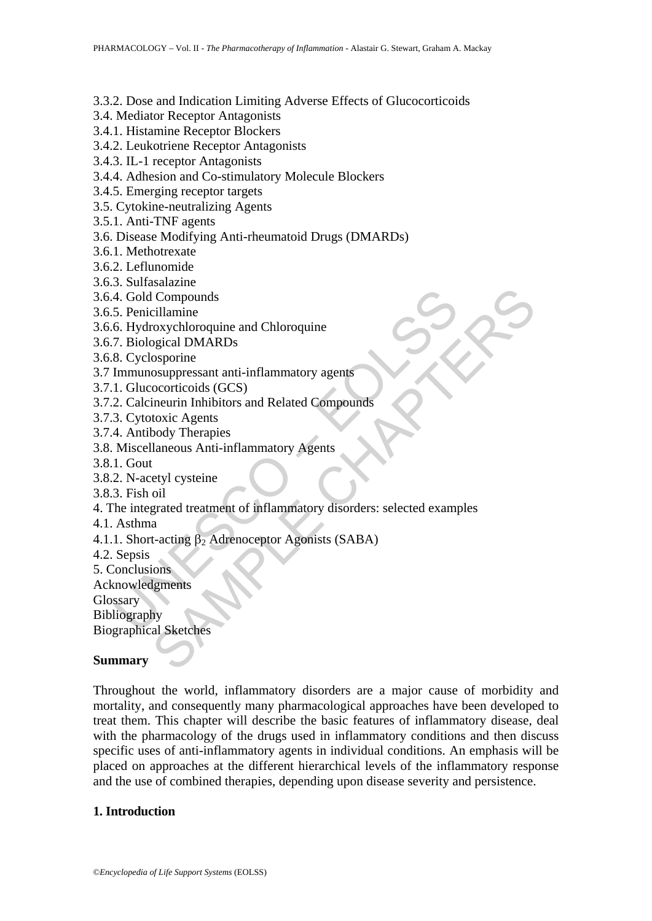3.3.2. Dose and Indication Limiting Adverse Effects of Glucocorticoids

- 3.4. Mediator Receptor Antagonists
- 3.4.1. Histamine Receptor Blockers
- 3.4.2. Leukotriene Receptor Antagonists
- 3.4.3. IL-1 receptor Antagonists
- 3.4.4. Adhesion and Co-stimulatory Molecule Blockers
- 3.4.5. Emerging receptor targets
- 3.5. Cytokine-neutralizing Agents
- 3.5.1. Anti-TNF agents
- 3.6. Disease Modifying Anti-rheumatoid Drugs (DMARDs)
- 3.6.1. Methotrexate
- 3.6.2. Leflunomide
- 3.6.3. Sulfasalazine
- 3.6.4. Gold Compounds
- 3.6.5. Penicillamine
- 3.6.6. Hydroxychloroquine and Chloroquine
- 3.6.7. Biological DMARDs
- 3.6.8. Cyclosporine
- 3.7 Immunosuppressant anti-inflammatory agents
- 3.7.1. Glucocorticoids (GCS)
- 3.7.2. Calcineurin Inhibitors and Related Compounds
- 3.7.3. Cytotoxic Agents
- 3.7.4. Antibody Therapies
- 3.8. Miscellaneous Anti-inflammatory Agents
- 3.8.1. Gout
- 3.8.2. N-acetyl cysteine
- 3.8.3. Fish oil
- 4. Gold Compounds<br>
5. Penicillamine<br>
6. Hydroxychloroquine and Chloroquine<br>
7. Biological DMARDs<br>
8. Cyclosporine<br>
Elmunusauppressant anti-inflammatory agents<br>
1. Glucocorticoids (GCS)<br>
2. Calcineurin Inhibitors and Relat I Compounds<br>
cillamine<br>
coxychloroquine and Chloroquine<br>
orgical DMARDs<br>
osporine<br>
osuppressant anti-inflammatory agents<br>
coordicoids (GCS)<br>
ineurin Inhibitors and Related Compounds<br>
toxic Agents<br>
body Therapies<br>
cotic Ag 4. The integrated treatment of inflammatory disorders: selected examples
- 4.1. Asthma
- 4.1.1. Short-acting  $\beta_2$  Adrenoceptor Agonists (SABA)
- 4.2. Sepsis
- 5. Conclusions
- Acknowledgments
- **Glossary**
- Bibliography
- Biographical Sketches

## **Summary**

Throughout the world, inflammatory disorders are a major cause of morbidity and mortality, and consequently many pharmacological approaches have been developed to treat them. This chapter will describe the basic features of inflammatory disease, deal with the pharmacology of the drugs used in inflammatory conditions and then discuss specific uses of anti-inflammatory agents in individual conditions. An emphasis will be placed on approaches at the different hierarchical levels of the inflammatory response and the use of combined therapies, depending upon disease severity and persistence.

## **1. Introduction**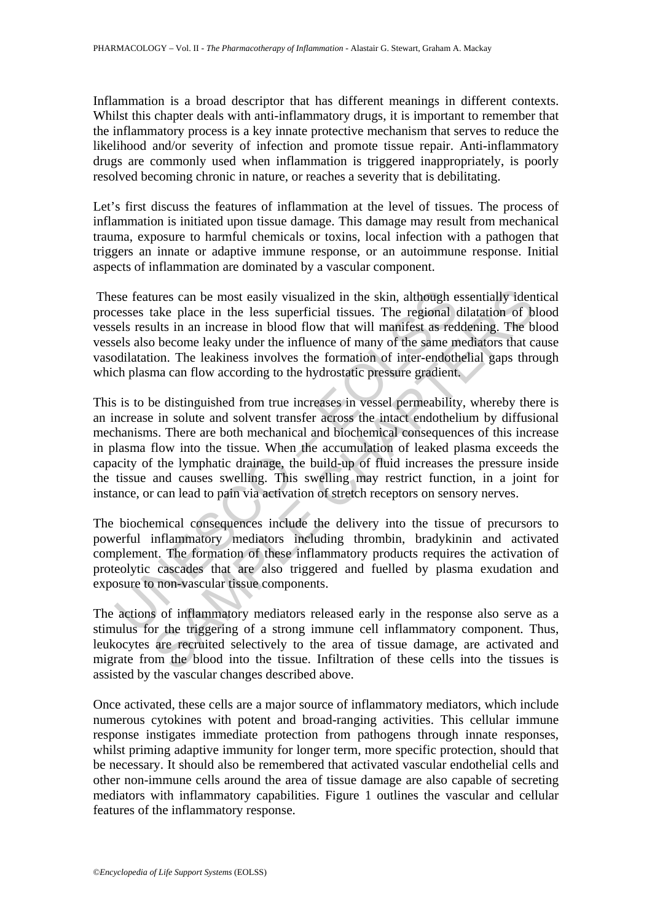Inflammation is a broad descriptor that has different meanings in different contexts. Whilst this chapter deals with anti-inflammatory drugs, it is important to remember that the inflammatory process is a key innate protective mechanism that serves to reduce the likelihood and/or severity of infection and promote tissue repair. Anti-inflammatory drugs are commonly used when inflammation is triggered inappropriately, is poorly resolved becoming chronic in nature, or reaches a severity that is debilitating.

Let's first discuss the features of inflammation at the level of tissues. The process of inflammation is initiated upon tissue damage. This damage may result from mechanical trauma, exposure to harmful chemicals or toxins, local infection with a pathogen that triggers an innate or adaptive immune response, or an autoimmune response. Initial aspects of inflammation are dominated by a vascular component.

 These features can be most easily visualized in the skin, although essentially identical processes take place in the less superficial tissues. The regional dilatation of blood vessels results in an increase in blood flow that will manifest as reddening. The blood vessels also become leaky under the influence of many of the same mediators that cause vasodilatation. The leakiness involves the formation of inter-endothelial gaps through which plasma can flow according to the hydrostatic pressure gradient.

issue features can be most easily visualized in the skin, although e<br>essese take place in the less superficial tissues. The regional c<br>els results in an increase in blood flow that will manifest as red<br>els also become leak ures can be most easily visualized in the skin, although essentially iden<br>take place in the less superficial tissues. The regional dilatation of b<br>ults in an increase in blood flow that will manifest as reddening. The bi<br>b This is to be distinguished from true increases in vessel permeability, whereby there is an increase in solute and solvent transfer across the intact endothelium by diffusional mechanisms. There are both mechanical and biochemical consequences of this increase in plasma flow into the tissue. When the accumulation of leaked plasma exceeds the capacity of the lymphatic drainage, the build-up of fluid increases the pressure inside the tissue and causes swelling. This swelling may restrict function, in a joint for instance, or can lead to pain via activation of stretch receptors on sensory nerves.

The biochemical consequences include the delivery into the tissue of precursors to powerful inflammatory mediators including thrombin, bradykinin and activated complement. The formation of these inflammatory products requires the activation of proteolytic cascades that are also triggered and fuelled by plasma exudation and exposure to non-vascular tissue components.

The actions of inflammatory mediators released early in the response also serve as a stimulus for the triggering of a strong immune cell inflammatory component. Thus, leukocytes are recruited selectively to the area of tissue damage, are activated and migrate from the blood into the tissue. Infiltration of these cells into the tissues is assisted by the vascular changes described above.

Once activated, these cells are a major source of inflammatory mediators, which include numerous cytokines with potent and broad-ranging activities. This cellular immune response instigates immediate protection from pathogens through innate responses, whilst priming adaptive immunity for longer term, more specific protection, should that be necessary. It should also be remembered that activated vascular endothelial cells and other non-immune cells around the area of tissue damage are also capable of secreting mediators with inflammatory capabilities. Figure 1 outlines the vascular and cellular features of the inflammatory response.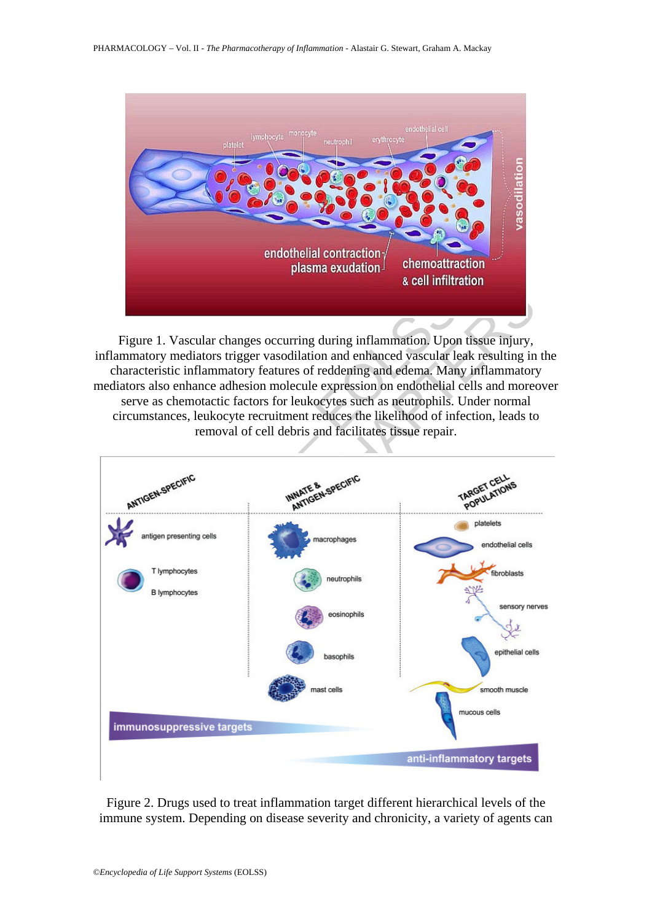

Figure 1. Vascular changes occurring during inflammation. Upon tissue injury, inflammatory mediators trigger vasodilation and enhanced vascular leak resulting in the characteristic inflammatory features of reddening and edema. Many inflammatory mediators also enhance adhesion molecule expression on endothelial cells and moreover serve as chemotactic factors for leukocytes such as neutrophils. Under normal circumstances, leukocyte recruitment reduces the likelihood of infection, leads to removal of cell debris and facilitates tissue repair.



Figure 2. Drugs used to treat inflammation target different hierarchical levels of the immune system. Depending on disease severity and chronicity, a variety of agents can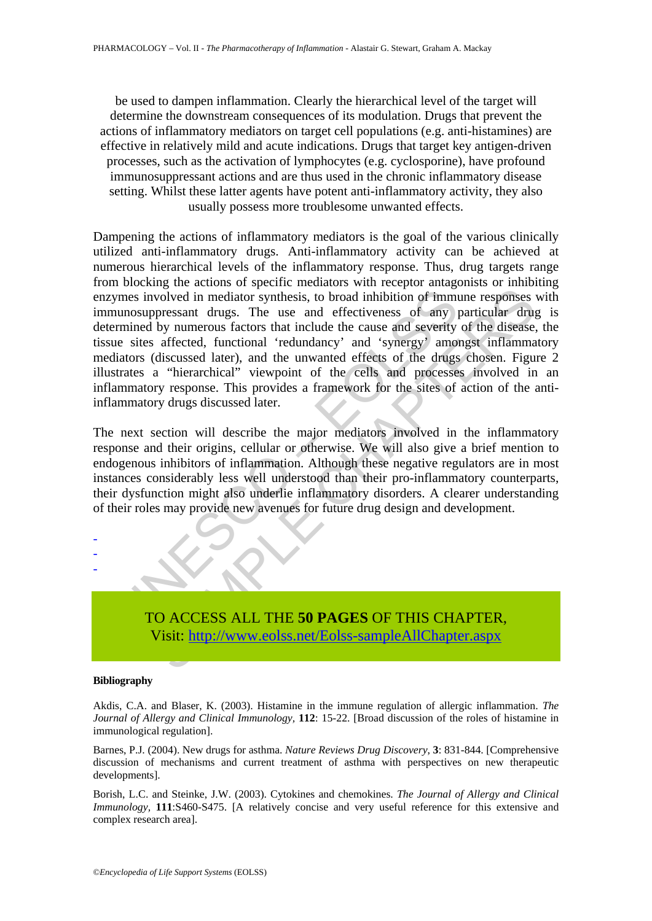be used to dampen inflammation. Clearly the hierarchical level of the target will determine the downstream consequences of its modulation. Drugs that prevent the actions of inflammatory mediators on target cell populations (e.g. anti-histamines) are effective in relatively mild and acute indications. Drugs that target key antigen-driven processes, such as the activation of lymphocytes (e.g. cyclosporine), have profound immunosuppressant actions and are thus used in the chronic inflammatory disease setting. Whilst these latter agents have potent anti-inflammatory activity, they also usually possess more troublesome unwanted effects.

where involved in mediator synthesis, to broad inhibition of immunosuppressant drugs. The use and effectiveness of any primined by numerous factors that include the cause and severity interactions (discussed later), and th movided in mediator synthesis, to broad inhibition of immune responses<br>ppressant drugs. The use and effectiveness of any particular drugs<br>ppressant drugs. The use and effectiveness of any particular drugs<br>in by numerous fa Dampening the actions of inflammatory mediators is the goal of the various clinically utilized anti-inflammatory drugs. Anti-inflammatory activity can be achieved at numerous hierarchical levels of the inflammatory response. Thus, drug targets range from blocking the actions of specific mediators with receptor antagonists or inhibiting enzymes involved in mediator synthesis, to broad inhibition of immune responses with immunosuppressant drugs. The use and effectiveness of any particular drug is determined by numerous factors that include the cause and severity of the disease, the tissue sites affected, functional 'redundancy' and 'synergy' amongst inflammatory mediators (discussed later), and the unwanted effects of the drugs chosen. Figure 2 illustrates a "hierarchical" viewpoint of the cells and processes involved in an inflammatory response. This provides a framework for the sites of action of the antiinflammatory drugs discussed later.

The next section will describe the major mediators involved in the inflammatory response and their origins, cellular or otherwise. We will also give a brief mention to endogenous inhibitors of inflammation. Although these negative regulators are in most instances considerably less well understood than their pro-inflammatory counterparts, their dysfunction might also underlie inflammatory disorders. A clearer understanding of their roles may provide new avenues for future drug design and development.



#### **Bibliography**

- - -

Akdis, C.A. and Blaser, K. (2003). Histamine in the immune regulation of allergic inflammation. *The Journal of Allergy and Clinical Immunology,* **112**: 15-22. [Broad discussion of the roles of histamine in immunological regulation].

Barnes, P.J. (2004). New drugs for asthma. *Nature Reviews Drug Discovery*, **3**: 831-844. [Comprehensive discussion of mechanisms and current treatment of asthma with perspectives on new therapeutic developments].

Borish, L.C. and Steinke, J.W. (2003). Cytokines and chemokines. *The Journal of Allergy and Clinical Immunology,* **111**:S460-S475. [A relatively concise and very useful reference for this extensive and complex research area].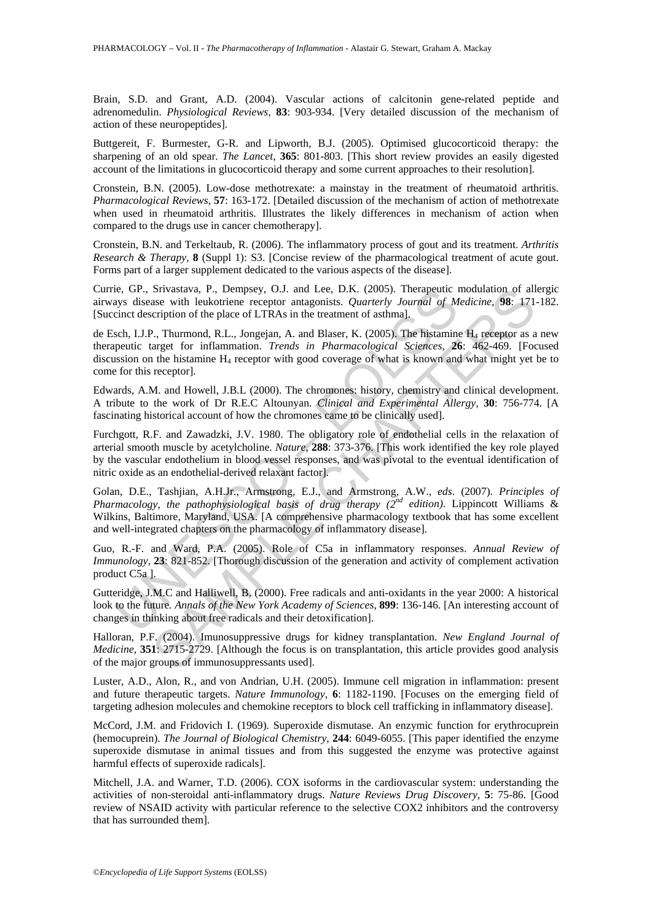Brain, S.D. and Grant, A.D. (2004). Vascular actions of calcitonin gene-related peptide and adrenomedulin. *Physiological Reviews,* **83**: 903-934. [Very detailed discussion of the mechanism of action of these neuropeptides].

Buttgereit, F. Burmester, G-R. and Lipworth, B.J. (2005). Optimised glucocorticoid therapy: the sharpening of an old spear. *The Lancet*, **365**: 801-803. [This short review provides an easily digested account of the limitations in glucocorticoid therapy and some current approaches to their resolution].

Cronstein, B.N. (2005). Low-dose methotrexate: a mainstay in the treatment of rheumatoid arthritis. *Pharmacological Reviews,* **57**: 163-172. [Detailed discussion of the mechanism of action of methotrexate when used in rheumatoid arthritis. Illustrates the likely differences in mechanism of action when compared to the drugs use in cancer chemotherapy].

Cronstein, B.N. and Terkeltaub, R. (2006). The inflammatory process of gout and its treatment. *Arthritis Research & Therapy,* **8** (Suppl 1): S3. [Concise review of the pharmacological treatment of acute gout. Forms part of a larger supplement dedicated to the various aspects of the disease].

Currie, GP., Srivastava, P., Dempsey, O.J. and Lee, D.K. (2005). Therapeutic modulation of allergic airways disease with leukotriene receptor antagonists. *Quarterly Journal of Medicine*, **98**: 171-182. [Succinct description of the place of LTRAs in the treatment of asthma].

ie, GP, Strwatstva, P., Dempsey, O.J. and Lee, D.K. (2005). Theraputite iterals and the tote method in the teameral of *M* (2005). The firstname perior attention of the place of LTRAs in the treatment of asthmal.<br>Sch, I.J Srivastava, P., Dempsey, O.J. and Lee, D.K. (2005). Therapeutic modulation of all<br>sae with leukotriene receptor antagonists. *Quarterly Journal of Medicine*, 98: 171<br>cription of the place of LTRAs in the treatment of ashm de Esch, I.J.P., Thurmond, R.L., Jongejan, A. and Blaser, K. (2005). The histamine H<sub>4</sub> receptor as a new therapeutic target for inflammation. *Trends in Pharmacological Sciences,* **26**: 462-469. [Focused discussion on the histamine  $H_4$  receptor with good coverage of what is known and what might yet be to come for this receptor].

Edwards, A.M. and Howell, J.B.L (2000). The chromones: history, chemistry and clinical development. A tribute to the work of Dr R.E.C Altounyan. *Clinical and Experimental Allergy,* **30**: 756-774. [A fascinating historical account of how the chromones came to be clinically used].

Furchgott, R.F. and Zawadzki, J.V. 1980. The obligatory role of endothelial cells in the relaxation of arterial smooth muscle by acetylcholine. *Nature*, **288**: 373-376. [This work identified the key role played by the vascular endothelium in blood vessel responses, and was pivotal to the eventual identification of nitric oxide as an endothelial-derived relaxant factor].

Golan, D.E., Tashjian, A.H.Jr., Armstrong, E.J., and Armstrong, A.W., *eds*. (2007). *Principles of Pharmacology, the pathophysiological basis of drug therapy (2nd edition)*. Lippincott Williams & Wilkins, Baltimore, Maryland, USA. [A comprehensive pharmacology textbook that has some excellent and well-integrated chapters on the pharmacology of inflammatory disease].

Guo, R.-F. and Ward, P.A. (2005). Role of C5a in inflammatory responses. *Annual Review of Immunology,* **23**: 821-852. [Thorough discussion of the generation and activity of complement activation product C5a ].

Gutteridge, J.M.C and Halliwell, B. (2000). Free radicals and anti-oxidants in the year 2000: A historical look to the future*. Annals of the New York Academy of Sciences,* **899**: 136-146. [An interesting account of changes in thinking about free radicals and their detoxification].

Halloran, P.F. (2004). Imunosuppressive drugs for kidney transplantation. *New England Journal of Medicine,* **351**: 2715-2729. [Although the focus is on transplantation, this article provides good analysis of the major groups of immunosuppressants used].

Luster, A.D., Alon, R., and von Andrian, U.H. (2005). Immune cell migration in inflammation: present and future therapeutic targets. *Nature Immunology,* **6**: 1182-1190. [Focuses on the emerging field of targeting adhesion molecules and chemokine receptors to block cell trafficking in inflammatory disease].

McCord, J.M. and Fridovich I. (1969). Superoxide dismutase. An enzymic function for erythrocuprein (hemocuprein). *The Journal of Biological Chemistry*, **244**: 6049-6055. [This paper identified the enzyme superoxide dismutase in animal tissues and from this suggested the enzyme was protective against harmful effects of superoxide radicals].

Mitchell, J.A. and Warner, T.D. (2006). COX isoforms in the cardiovascular system: understanding the activities of non-steroidal anti-inflammatory drugs. *Nature Reviews Drug Discovery,* **5**: 75-86. [Good review of NSAID activity with particular reference to the selective COX2 inhibitors and the controversy that has surrounded them].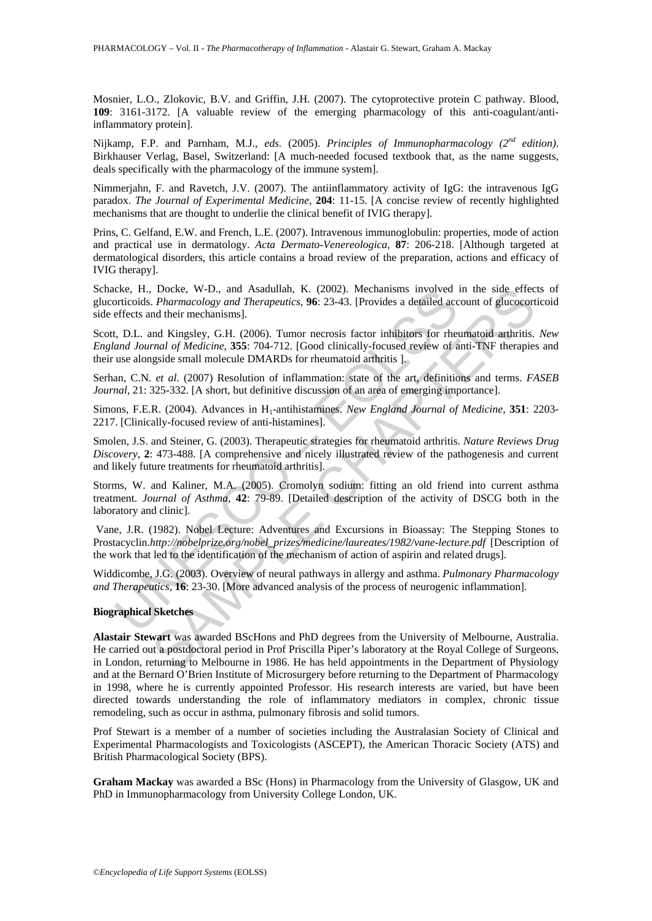Mosnier, L.O., Zlokovic, B.V. and Griffin, J.H. (2007). The cytoprotective protein C pathway. Blood, **109**: 3161-3172. [A valuable review of the emerging pharmacology of this anti-coagulant/antiinflammatory protein].

Nijkamp, F.P. and Parnham, M.J., *eds.* (2005). *Principles of Immunopharmacology (2nd edition)*. Birkhauser Verlag, Basel, Switzerland: [A much-needed focused textbook that, as the name suggests, deals specifically with the pharmacology of the immune system].

Nimmerjahn, F. and Ravetch, J.V. (2007). The antiinflammatory activity of IgG: the intravenous IgG paradox. *The Journal of Experimental Medicine,* **204**: 11-15. [A concise review of recently highlighted mechanisms that are thought to underlie the clinical benefit of IVIG therapy].

Prins, C. Gelfand, E.W. and French, L.E. (2007). Intravenous immunoglobulin: properties, mode of action and practical use in dermatology. *Acta Dermato-Venereologica,* **87**: 206-218. [Although targeted at dermatological disorders, this article contains a broad review of the preparation, actions and efficacy of IVIG therapy].

Schacke, H., Docke, W-D., and Asadullah, K. (2002). Mechanisms involved in the side effects of glucorticoids. *Pharmacology and Therapeutics,* **96**: 23-43. [Provides a detailed account of glucocorticoid side effects and their mechanisms].

Scott, D.L. and Kingsley, G.H. (2006). Tumor necrosis factor inhibitors for rheumatoid arthritis. *New England Journal of Medicine,* **355**: 704-712. [Good clinically-focused review of anti-TNF therapies and their use alongside small molecule DMARDs for rheumatoid arthritis ].

Serhan, C.N. *et al*. (2007) Resolution of inflammation: state of the art, definitions and terms. *FASEB Journal, 21: 325-332.* [A short, but definitive discussion of an area of emerging importance].

Simons, F.E.R. (2004). Advances in H<sub>1</sub>-antihistamines. *New England Journal of Medicine*, 351: 2203-2217. [Clinically-focused review of anti-histamines].

Smolen, J.S. and Steiner, G. (2003). Therapeutic strategies for rheumatoid arthritis. *Nature Reviews Drug Discovery,* **2**: 473-488. [A comprehensive and nicely illustrated review of the pathogenesis and current and likely future treatments for rheumatoid arthritis].

Eck, H., Docke, W-D., and Asadullah, K. (2002). Mechanisms involved cke, H., Docke, W-D., and Asamazology and Therapeutics, 96: 23-43. [Provides a detailed accelects and their mechanisms].<br>
(b. D.L. and Kingsley, G.H. (20 Storms, W. and Kaliner, M.A. (2005). Cromolyn sodium: fitting an old friend into current asthma treatment. *Journal of Asthma,* **42**: 79-89. [Detailed description of the activity of DSCG both in the laboratory and clinic].

 Vane, J.R. (1982). Nobel Lecture: Adventures and Excursions in Bioassay: The Stepping Stones to Prostacyclin.*http://nobelprize.org/nobel\_prizes/medicine/laureates/1982/vane-lecture.pdf* [Description of the work that led to the identification of the mechanism of action of aspirin and related drugs].

Widdicombe, J.G. (2003). Overview of neural pathways in allergy and asthma. *Pulmonary Pharmacology and Therapeutics,* **16**: 23-30. [More advanced analysis of the process of neurogenic inflammation].

#### **Biographical Sketches**

Docke, W-D, and Asadullah, K. (2002). Mechanisms involved in the side effect<br> *Pharmacology and Therapeutics*, **96**: 23-43. [Provides a detailed account of glucocord<br> *nd* Mingsley, G.H. (2006). Tumor necrosis factor inhi **Alastair Stewart** was awarded BScHons and PhD degrees from the University of Melbourne, Australia. He carried out a postdoctoral period in Prof Priscilla Piper's laboratory at the Royal College of Surgeons, in London, returning to Melbourne in 1986. He has held appointments in the Department of Physiology and at the Bernard O'Brien Institute of Microsurgery before returning to the Department of Pharmacology in 1998, where he is currently appointed Professor. His research interests are varied, but have been directed towards understanding the role of inflammatory mediators in complex, chronic tissue remodeling, such as occur in asthma, pulmonary fibrosis and solid tumors.

Prof Stewart is a member of a number of societies including the Australasian Society of Clinical and Experimental Pharmacologists and Toxicologists (ASCEPT), the American Thoracic Society (ATS) and British Pharmacological Society (BPS).

**Graham Mackay** was awarded a BSc (Hons) in Pharmacology from the University of Glasgow, UK and PhD in Immunopharmacology from University College London, UK.